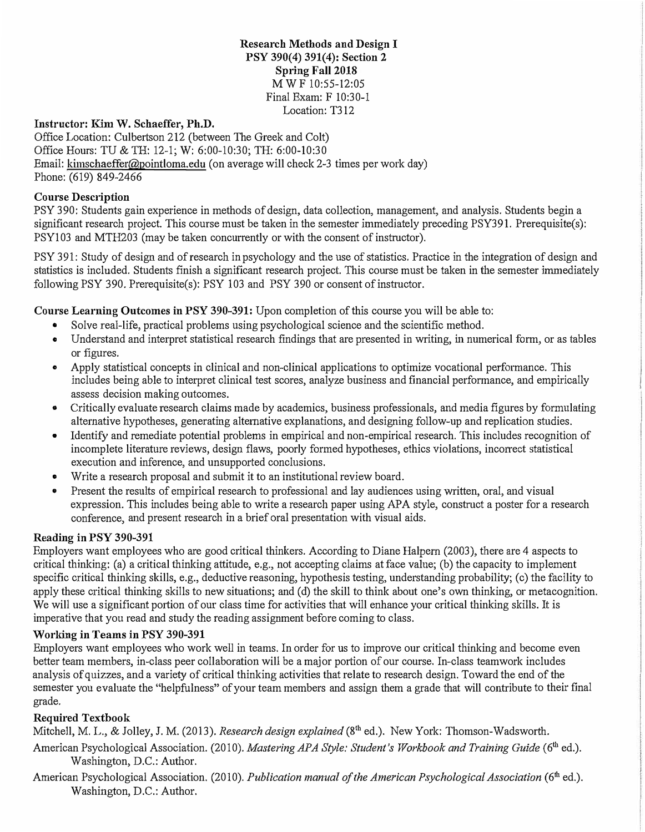#### **Research Methods and Design I PSY 390(4) 391(4): Section 2 Spring Fall 2018**  MW F 10:55-12:05 Final Exam: F 10:30-1 Location: T312

### **Instrnctor: Kim W. Schaeffer, Ph.D.**

Office Location: Culbertson 212 (between The Greek and Colt) Office Hours: TU & TH: 12-1; W: 6:00-10:30; TH: 6:00-10:30 Email: kimschaeffer@pointloma.edu ( on average will check 2-3 times per work day) Phone: (619) 849-2466

### **Course Description**

PSY 390: Students gain experience in methods of design, data collection, management, and analysis. Students begin a significant research project. This course must be taken in the semester immediately preceding PSY391. Prerequisite(s): PSYl 03 and MTH203 (may be taken concurrently or with the consent of instructor).

PSY 391: Study of design and of research in psychology and the use of statistics. Practice in the integration of design and statistics is included. Students finish a significant research project. This course must be taken in the semester innnediately following PSY 390. Prerequisite(s): PSY 103 and PSY 390 or consent of instructor.

**Course Learning Outcomes iu PSY 390-391:** Upon completion of this course you will be able to:

- Solve real-life, practical problems using psychological science and the scientific method .
- Understand and interpret statistical research findings that are presented in writing, in numerical form, or as tables or figures.
- $\bullet$ Apply statistical concepts in clinical and non-clinical applications to optimize vocational performance. This includes being able to interpret clinical test scores, analyze business and financial performance, and empirically assess decision making outcomes.
- Critically evaluate research claims made by academics, business professionals, and media figures by formulating alternative hypotheses, generating alternative explanations, and designing follow-up and replication studies.
- Identify and remediate potential problems in empirical and non-empirical research. This includes recognition of incomplete literature reviews, design flaws, poorly formed hypotheses, ethics violations, incorrect statistical execution and inference, and unsupported conclusions.
- Write a research proposal and submit it to an institutional review board.
- Present the results of empirical research to professional and lay audiences using written, oral, and visual expression. This includes being able to write a research paper using APA style, construct a poster for a research conference, and present research in a brief oral presentation with visual aids.

### **Reading in PSY 390-391**

Employers want employees who are good critical thinkers. According to Diane Halpern (2003), there are 4 aspects to critical thinking: (a) a critical thinking attitude, e.g., not accepting claims at face value; (b) the capacity to implement specific critical thinking skills, e.g., deductive reasoning, hypothesis testing, understanding probability; (c) the facility to apply these critical thinking skills to new situations; and (d) the skill to think about one's own thinking, or metacognition. We will use a significant portion of our class time for activities that will enhance your critical thinking skills. It is imperative that you read and study the reading assignment before coming to class.

#### **Working in Teams in PSY 390-391**

Employers want employees who work well in teams. In order for us to improve our critical thinking and become even better team members, in-class peer collaboration will be a major portion of our course. In-class teamwork includes analysis of quizzes, and a variety of critical thinking activities that relate to research design. Toward the end of the semester you evaluate the "helpfulness" of your team members and assign them a grade that will contribute to their final grade.

### **Required Textbook**

Mitchell, M. L., & Jolley, J. M. (2013). *Research design explained* (8th ed.). New York: Thomson-Wadsworth.

- American Psychological Association. (2010). *Mastering APA Style: Student's Workbook and Training Guide* (6<sup>th</sup> ed.). Washington, D.C.: Author.
- American Psychological Association. (2010). *Publication manual of the American Psychological Association* (6<sup>th</sup> ed.). Washington, D.C.: Author.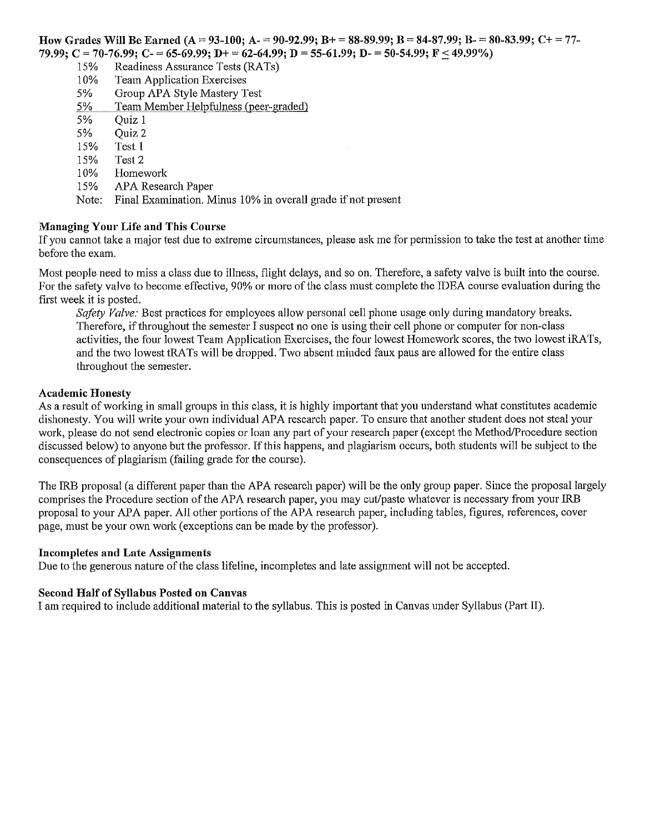How Grades Will Be Earned (A = 93-100; A - = 90-92.99; B+ = 88-89.99; B = 84-87.99; B - = 80-83.99; C+ = 77-79.99; C = 70-76.99; C- = 65-69.99; D+ = 62-64.99; D = 55-61.99; D- = 50-54.99; F < 49.99%)

- Readiness Assurance Tests (RATs) 15%
- 10% **Team Application Exercises**
- 5% Group APA Style Mastery Test
- 5% Team Member Helpfulness (peer-graded)
- 5% Ouiz 1
- $5%$ Ouiz 2
- 15% Test 1
- Test 2 15%
- 10% Homework
- 15% APA Research Paper

Final Examination. Minus 10% in overall grade if not present Note:

#### **Managing Your Life and This Course**

If you cannot take a major test due to extreme circumstances, please ask me for permission to take the test at another time before the exam.

Most people need to miss a class due to illness, flight delays, and so on. Therefore, a safety valve is built into the course. For the safety valve to become effective, 90% or more of the class must complete the IDEA course evaluation during the first week it is posted.

Safety Valve: Best practices for employees allow personal cell phone usage only during mandatory breaks. Therefore, if throughout the semester I suspect no one is using their cell phone or computer for non-class activities, the four lowest Team Application Exercises, the four lowest Homework scores, the two lowest iRATs, and the two lowest tRATs will be dropped. Two absent minded faux paus are allowed for the entire class throughout the semester.

#### **Academic Honesty**

As a result of working in small groups in this class, it is highly important that you understand what constitutes academic dishonesty. You will write your own individual APA research paper. To ensure that another student does not steal your work, please do not send electronic copies or loan any part of your research paper (except the Method/Procedure section discussed below) to anyone but the professor. If this happens, and plagiarism occurs, both students will be subject to the consequences of plagiarism (failing grade for the course).

The IRB proposal (a different paper than the APA research paper) will be the only group paper. Since the proposal largely comprises the Procedure section of the APA research paper, you may cut/paste whatever is necessary from your IRB proposal to your APA paper. All other portions of the APA research paper, including tables, figures, references, cover page, must be your own work (exceptions can be made by the professor).

#### **Incompletes and Late Assignments**

Due to the generous nature of the class lifeline, incompletes and late assignment will not be accepted.

#### **Second Half of Syllabus Posted on Canvas**

I am required to include additional material to the syllabus. This is posted in Canvas under Syllabus (Part II).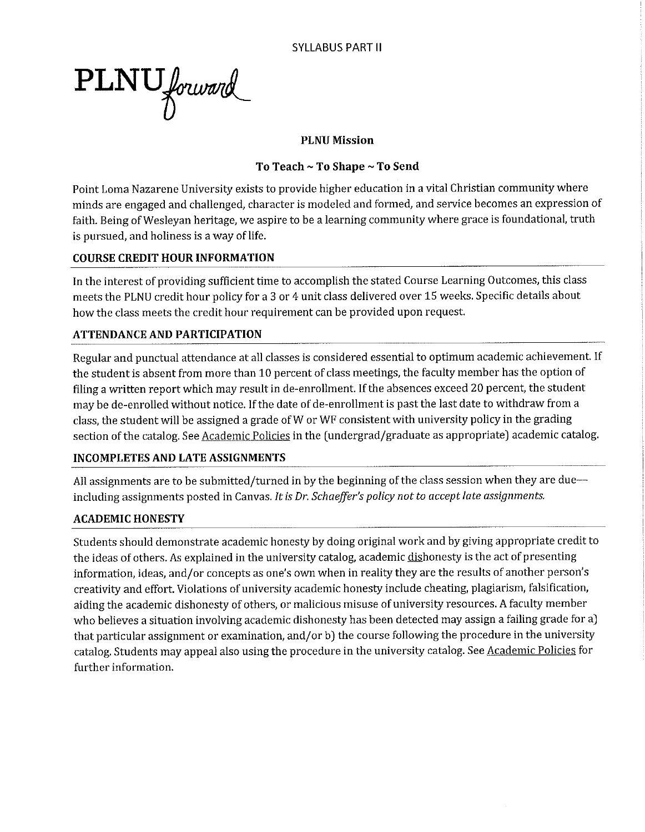PLNU forward

### **PLNU Mission**

#### To Teach ~ To Shape ~ To Send

Point Loma Nazarene University exists to provide higher education in a vital Christian community where minds are engaged and challenged, character is modeled and formed, and service becomes an expression of faith. Being of Wesleyan heritage, we aspire to be a learning community where grace is foundational, truth is pursued, and holiness is a way of life.

### **COURSE CREDIT HOUR INFORMATION**

In the interest of providing sufficient time to accomplish the stated Course Learning Outcomes, this class meets the PLNU credit hour policy for a 3 or 4 unit class delivered over 15 weeks. Specific details about how the class meets the credit hour requirement can be provided upon request.

#### **ATTENDANCE AND PARTICIPATION**

Regular and punctual attendance at all classes is considered essential to optimum academic achievement. If the student is absent from more than 10 percent of class meetings, the faculty member has the option of filing a written report which may result in de-enrollment. If the absences exceed 20 percent, the student may be de-enrolled without notice. If the date of de-enrollment is past the last date to withdraw from a class, the student will be assigned a grade of W or WF consistent with university policy in the grading section of the catalog. See Academic Policies in the (undergrad/graduate as appropriate) academic catalog.

#### **INCOMPLETES AND LATE ASSIGNMENTS**

All assignments are to be submitted/turned in by the beginning of the class session when they are due including assignments posted in Canvas. It is Dr. Schaeffer's policy not to accept late assignments.

#### **ACADEMIC HONESTY**

Students should demonstrate academic honesty by doing original work and by giving appropriate credit to the ideas of others. As explained in the university catalog, academic dishonesty is the act of presenting information, ideas, and/or concepts as one's own when in reality they are the results of another person's creativity and effort. Violations of university academic honesty include cheating, plagiarism, falsification, aiding the academic dishonesty of others, or malicious misuse of university resources. A faculty member who believes a situation involving academic dishonesty has been detected may assign a failing grade for a) that particular assignment or examination, and/or b) the course following the procedure in the university catalog. Students may appeal also using the procedure in the university catalog. See Academic Policies for further information.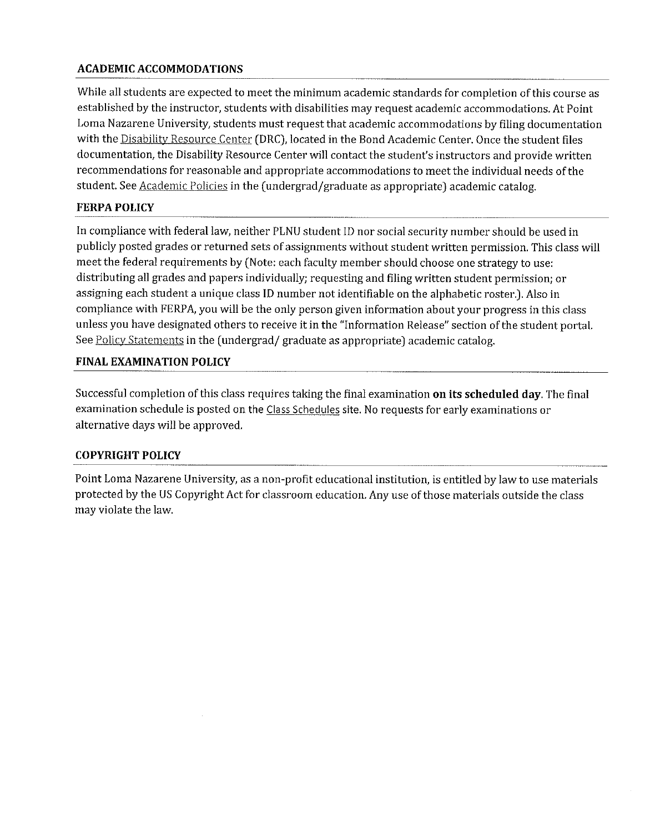## **ACADEMIC ACCOMMODATIONS**

While all students are expected to meet the minimum academic standards for completion of this course as established by the instructor, students with disabilities may request academic accommodations. At Point Loma Nazarene University, students must request that academic accommodations by filing documentation with the Disability Resource Center (DRC), located in the Bond Academic Center. Once the student files documentation, the Disability Resource Center will contact the student's instructors and provide written recommendations for reasonable and appropriate accommodations to meet the individual needs of the student. See Academic Policies in the (undergrad/graduate as appropriate) academic catalog.

## **FERPA POLICY**

In compliance with federal law, neither PLNU student ID nor social security number should be used in publicly posted grades or returned sets of assignments without student written permission. This class will meet the federal requirements by (Note: each faculty member should choose one strategy to use: distributing all grades and papers individually; requesting and filing written student permission; or assigning each student a unique class ID number not identifiable on the alphabetic roster.). Also in compliance with FERPA, you will be the only person given information about your progress in this class unless you have designated others to receive it in the "Information Release" section of the student portal. See Policy Statements in the (undergrad/graduate as appropriate) academic catalog.

### **FINAL EXAMINATION POLICY**

Successful completion of this class requires taking the final examination on its scheduled day. The final examination schedule is posted on the Class Schedules site. No requests for early examinations or alternative days will be approved.

# **COPYRIGHT POLICY**

Point Loma Nazarene University, as a non-profit educational institution, is entitled by law to use materials protected by the US Copyright Act for classroom education. Any use of those materials outside the class may violate the law.